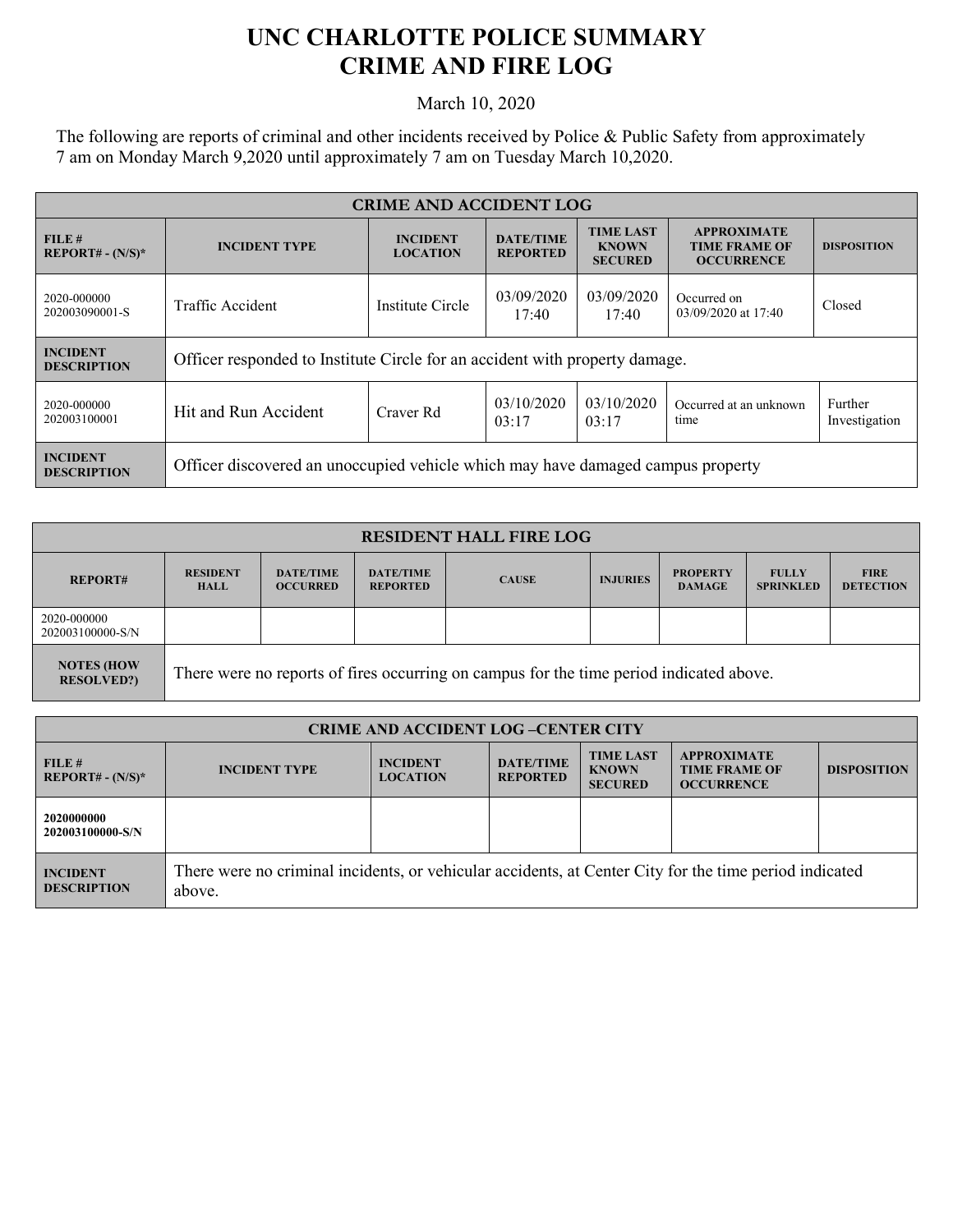## **UNC CHARLOTTE POLICE SUMMARY CRIME AND FIRE LOG**

March 10, 2020

The following are reports of criminal and other incidents received by Police & Public Safety from approximately 7 am on Monday March 9,2020 until approximately 7 am on Tuesday March 10,2020.

| <b>CRIME AND ACCIDENT LOG</b>         |                                                                                 |                                    |                                     |                                                    |                                                                 |                          |  |
|---------------------------------------|---------------------------------------------------------------------------------|------------------------------------|-------------------------------------|----------------------------------------------------|-----------------------------------------------------------------|--------------------------|--|
| FILE#<br>$REPORT# - (N/S)*$           | <b>INCIDENT TYPE</b>                                                            | <b>INCIDENT</b><br><b>LOCATION</b> | <b>DATE/TIME</b><br><b>REPORTED</b> | <b>TIME LAST</b><br><b>KNOWN</b><br><b>SECURED</b> | <b>APPROXIMATE</b><br><b>TIME FRAME OF</b><br><b>OCCURRENCE</b> | <b>DISPOSITION</b>       |  |
| 2020-000000<br>202003090001-S         | Traffic Accident                                                                | Institute Circle                   | 03/09/2020<br>17:40                 | 03/09/2020<br>17:40                                | Occurred on<br>03/09/2020 at 17:40                              | Closed                   |  |
| <b>INCIDENT</b><br><b>DESCRIPTION</b> | Officer responded to Institute Circle for an accident with property damage.     |                                    |                                     |                                                    |                                                                 |                          |  |
| 2020-000000<br>202003100001           | Hit and Run Accident                                                            | Craver Rd                          | 03/10/2020<br>03:17                 | 03/10/2020<br>03:17                                | Occurred at an unknown<br>time                                  | Further<br>Investigation |  |
| <b>INCIDENT</b><br><b>DESCRIPTION</b> | Officer discovered an unoccupied vehicle which may have damaged campus property |                                    |                                     |                                                    |                                                                 |                          |  |

| <b>RESIDENT HALL FIRE LOG</b>           |                                                                                         |                                     |                                     |              |                 |                                  |                                  |                                 |
|-----------------------------------------|-----------------------------------------------------------------------------------------|-------------------------------------|-------------------------------------|--------------|-----------------|----------------------------------|----------------------------------|---------------------------------|
| <b>REPORT#</b>                          | <b>RESIDENT</b><br><b>HALL</b>                                                          | <b>DATE/TIME</b><br><b>OCCURRED</b> | <b>DATE/TIME</b><br><b>REPORTED</b> | <b>CAUSE</b> | <b>INJURIES</b> | <b>PROPERTY</b><br><b>DAMAGE</b> | <b>FULLY</b><br><b>SPRINKLED</b> | <b>FIRE</b><br><b>DETECTION</b> |
| 2020-000000<br>202003100000-S/N         |                                                                                         |                                     |                                     |              |                 |                                  |                                  |                                 |
| <b>NOTES (HOW)</b><br><b>RESOLVED?)</b> | There were no reports of fires occurring on campus for the time period indicated above. |                                     |                                     |              |                 |                                  |                                  |                                 |

| <b>CRIME AND ACCIDENT LOG-CENTER CITY</b> |                                                                                                                  |                                    |                                     |                                                    |                                                                 |                    |
|-------------------------------------------|------------------------------------------------------------------------------------------------------------------|------------------------------------|-------------------------------------|----------------------------------------------------|-----------------------------------------------------------------|--------------------|
| FILE#<br>$REPORT# - (N/S)*$               | <b>INCIDENT TYPE</b>                                                                                             | <b>INCIDENT</b><br><b>LOCATION</b> | <b>DATE/TIME</b><br><b>REPORTED</b> | <b>TIME LAST</b><br><b>KNOWN</b><br><b>SECURED</b> | <b>APPROXIMATE</b><br><b>TIME FRAME OF</b><br><b>OCCURRENCE</b> | <b>DISPOSITION</b> |
| 2020000000<br>202003100000-S/N            |                                                                                                                  |                                    |                                     |                                                    |                                                                 |                    |
| <b>INCIDENT</b><br><b>DESCRIPTION</b>     | There were no criminal incidents, or vehicular accidents, at Center City for the time period indicated<br>above. |                                    |                                     |                                                    |                                                                 |                    |